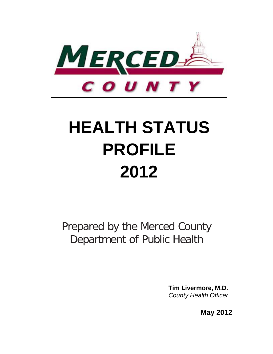

# **HEALTH STATUS PROFILE 2012**

Prepared by the Merced County Department of Public Health

> **Tim Livermore, M.D.** *County Health Officer*

> > **May 2012**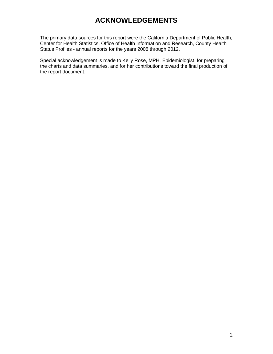# **ACKNOWLEDGEMENTS**

<span id="page-1-0"></span>The primary data sources for this report were the California Department of Public Health, Center for Health Statistics, Office of Health Information and Research, County Health Status Profiles - annual reports for the years 2008 through 2012.

Special acknowledgement is made to Kelly Rose, MPH, Epidemiologist, for preparing the charts and data summaries, and for her contributions toward the final production of the report document.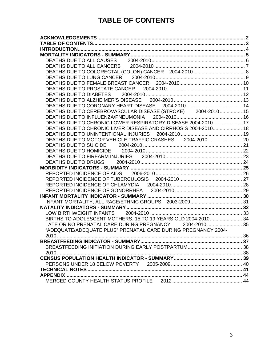# **TABLE OF CONTENTS**

<span id="page-2-0"></span>

| DEATHS DUE TO CEREBROVASCULAR DISEASE (STROKE) 2004-2010 15    |  |
|----------------------------------------------------------------|--|
|                                                                |  |
| DEATHS DUE TO CHRONIC LOWER RESPIRATORY DISEASE 2004-2010 17   |  |
| DEATHS DUE TO CHRONIC LIVER DISEASE AND CIRRHOSIS 2004-2010 18 |  |
|                                                                |  |
| DEATHS DUE TO MOTOR VEHICLE TRAFFIC CRASHES 2004-2010  20      |  |
|                                                                |  |
|                                                                |  |
|                                                                |  |
|                                                                |  |
|                                                                |  |
|                                                                |  |
|                                                                |  |
|                                                                |  |
|                                                                |  |
|                                                                |  |
|                                                                |  |
|                                                                |  |
|                                                                |  |
| BIRTHS TO ADOLESCENT MOTHERS, 15 TO 19 YEARS OLD 2004-2010 34  |  |
| LATE OR NO PRENATAL CARE DURING PREGNANCY 2004-2010  35        |  |
| "ADEQUATE/ADEQUATE PLUS" PRENATAL CARE DURING PREGNANCY 2004-  |  |
|                                                                |  |
|                                                                |  |
|                                                                |  |
|                                                                |  |
|                                                                |  |
|                                                                |  |
|                                                                |  |
|                                                                |  |
|                                                                |  |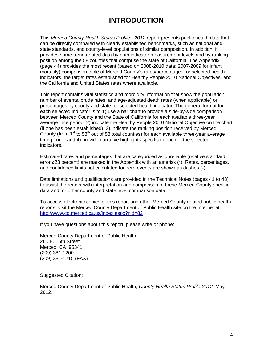# **INTRODUCTION**

<span id="page-3-0"></span>This *Merced County Health Status Profile - 2012* report presents public health data that can be directly compared with clearly established benchmarks, such as national and state standards, and county-level populations of similar composition. In addition, it provides some trend related data by both indicator measurement levels and by ranking position among the 58 counties that comprise the state of California. The Appendix (page 44) provides the most recent (based on 2008-2010 data; 2007-2009 for infant mortality) comparison table of Merced County's rates/percentages for selected health indicators, the target rates established for Healthy People 2010 National Objectives, and the California and United States rates where available.

This report contains vital statistics and morbidity information that show the population, number of events, crude rates, and age-adjusted death rates (when applicable) or percentages by county and state for selected health indicator. The general format for each selected indicator is to 1) use a bar chart to provide a side-by-side comparison between Merced County and the State of California for each available three-year average time period, 2) indicate the Healthy People 2010 National Objective on the chart (if one has been established), 3) indicate the ranking position received by Merced County (from  $1<sup>st</sup>$  to 58<sup>th</sup> out of 58 total counties) for each available three-year average time period, and 4) provide narrative highlights specific to each of the selected indicators.

Estimated rates and percentages that are categorized as unreliable (relative standard error ≥23 percent) are marked in the Appendix with an asterisk (\*). Rates, percentages, and confidence limits not calculated for zero events are shown as dashes (-).

Data limitations and qualifications are provided in the Technical Notes (pages 41 to 43) to assist the reader with interpretation and comparison of these Merced County specific data and for other county and state level comparison data.

To access electronic copies of this report and other Merced County related public health reports, visit the Merced County Department of Public Health site on the Internet at: <http://www.co.merced.ca.us/index.aspx?nid=82>

If you have questions about this report, please write or phone:

Merced County Department of Public Health 260 E. 15th Street Merced, CA 95341 (209) 381-1200 (209) 381-1215 (FAX)

Suggested Citation:

Merced County Department of Public Health, *County Health Status Profile 2012,* May 2012.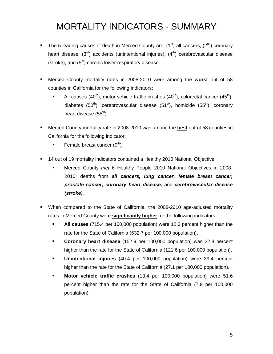# <span id="page-4-0"></span>MORTALITY INDICATORS - SUMMARY

- The 5 leading causes of death in Merced County are:  $(1<sup>st</sup>)$  all cancers,  $(2<sup>nd</sup>)$  coronary heart disease,  $(3^{rd})$  accidents (unintentional injuries),  $(4^{th})$  cerebrovascular disease (stroke), and  $(5<sup>th</sup>)$  chronic lower respiratory disease.
- Merced County mortality rates in 2008-2010 were among the **worst** out of 58 counties in California for the following indicators:
	- All causes (40<sup>th</sup>), motor vehicle traffic crashes (40<sup>th</sup>), colorectal cancer (45<sup>th</sup>), diabetes (50<sup>th</sup>), cerebrovascular disease (51<sup>st</sup>), homicide (55<sup>th</sup>), coronary heart disease  $(55<sup>th</sup>)$ .
- Merced County mortality rate in 2008-2010 was among the **best** out of 58 counties in California for the following indicator:
	- Female breast cancer  $(9<sup>th</sup>)$ .
- 14 out of 19 mortality indicators contained a Healthy 2010 National Objective.
	- Merced County *met* 6 Healthy People 2010 National Objectives in 2008- 2010: deaths from *all cancers, lung cancer, female breast cancer, prostate cancer, coronary heart disease,* and *cerebrovascular disease (stroke)*.
- When compared to the State of California, the 2008-2010 age-adjusted mortality rates in Merced County were **significantly higher** for the following indicators:
	- **All causes** (715.4 per 100,000 population) were 12.3 percent higher than the rate for the State of California (632.7 per 100,000 population).
	- **Coronary heart disease** (152.9 per 100,000 population) was 22.8 percent higher than the rate for the State of California (121.6 per 100,000 population).
	- **Unintentional injuries** (40.4 per 100,000 population) were 39.4 percent higher than the rate for the State of California (27.1 per 100,000 population).
	- **Motor vehicle traffic crashes** (13.4 per 100,000 population) were 51.6 percent higher than the rate for the State of California (7.9 per 100,000 population).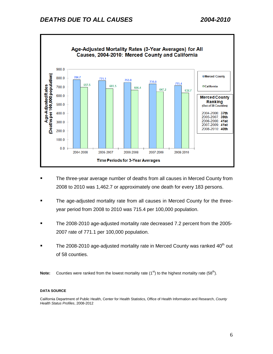<span id="page-5-0"></span>

- The three-year average number of deaths from all causes in Merced County from 2008 to 2010 was 1,462.7 or approximately one death for every 183 persons.
- The age-adjusted mortality rate from all causes in Merced County for the threeyear period from 2008 to 2010 was 715.4 per 100,000 population.
- The 2008-2010 age-adjusted mortality rate decreased 7.2 percent from the 2005- 2007 rate of 771.1 per 100,000 population.
- The 2008-2010 age-adjusted mortality rate in Merced County was ranked  $40<sup>th</sup>$  out of 58 counties.
- **Note:** Counties were ranked from the lowest mortality rate (1<sup>st</sup>) to the highest mortality rate (58<sup>th</sup>).

#### **DATA SOURCE**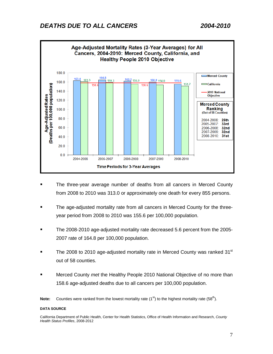<span id="page-6-0"></span>

- The three-year average number of deaths from all cancers in Merced County from 2008 to 2010 was 313.0 or approximately one death for every 855 persons.
- The age-adjusted mortality rate from all cancers in Merced County for the threeyear period from 2008 to 2010 was 155.6 per 100,000 population.
- The 2008-2010 age-adjusted mortality rate decreased 5.6 percent from the 2005- 2007 rate of 164.8 per 100,000 population.
- The 2008 to 2010 age-adjusted mortality rate in Merced County was ranked 31 $\mathrm{^{st}}$ out of 58 counties.
- Merced County *met* the Healthy People 2010 National Objective of no more than 158.6 age-adjusted deaths due to all cancers per 100,000 population.

#### **DATA SOURCE**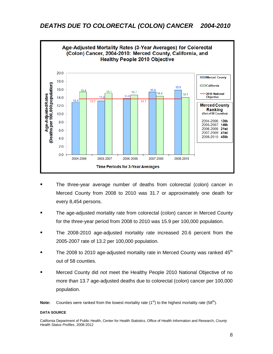<span id="page-7-0"></span>

- The three-year average number of deaths from colorectal (colon) cancer in Merced County from 2008 to 2010 was 31.7 or approximately one death for every 8,454 persons.
- The age-adjusted mortality rate from colorectal (colon) cancer in Merced County for the three-year period from 2008 to 2010 was 15.9 per 100,000 population.
- The 2008-2010 age-adjusted mortality rate increased 20.6 percent from the 2005-2007 rate of 13.2 per 100,000 population.
- The 2008 to 2010 age-adjusted mortality rate in Merced County was ranked  $45<sup>m</sup>$ out of 58 counties.
- Merced County did *not* meet the Healthy People 2010 National Objective of no more than 13.7 age-adjusted deaths due to colorectal (colon) cancer per 100,000 population.

#### **DATA SOURCE**

California Department of Public Health, Center for Health Statistics, Office of Health Information and Research, *County Health Status Profiles*, 2008-2012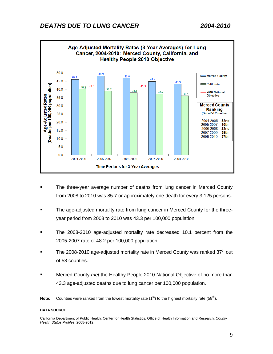<span id="page-8-0"></span>

- The three-year average number of deaths from lung cancer in Merced County from 2008 to 2010 was 85.7 or approximately one death for every 3,125 persons.
- The age-adjusted mortality rate from lung cancer in Merced County for the threeyear period from 2008 to 2010 was 43.3 per 100,000 population.
- The 2008-2010 age-adjusted mortality rate decreased 10.1 percent from the 2005-2007 rate of 48.2 per 100,000 population.
- The 2008-2010 age-adjusted mortality rate in Merced County was ranked  $37<sup>th</sup>$  out of 58 counties.
- Merced County *met* the Healthy People 2010 National Objective of no more than 43.3 age-adjusted deaths due to lung cancer per 100,000 population.

#### **DATA SOURCE**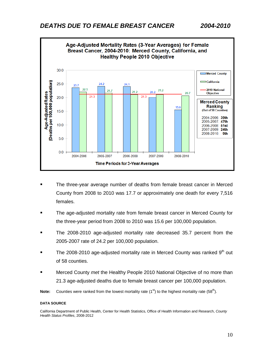<span id="page-9-0"></span>

- The three-year average number of deaths from female breast cancer in Merced County from 2008 to 2010 was 17.7 or approximately one death for every 7,516 females.
- The age-adjusted mortality rate from female breast cancer in Merced County for the three-year period from 2008 to 2010 was 15.6 per 100,000 population.
- The 2008-2010 age-adjusted mortality rate decreased 35.7 percent from the 2005-2007 rate of 24.2 per 100,000 population.
- The 2008-2010 age-adjusted mortality rate in Merced County was ranked  $9<sup>th</sup>$  out of 58 counties.
- Merced County *met* the Healthy People 2010 National Objective of no more than 21.3 age-adjusted deaths due to female breast cancer per 100,000 population.
- **Note:** Counties were ranked from the lowest mortality rate  $(1^{st})$  to the highest mortality rate  $(58<sup>th</sup>)$ .

#### **DATA SOURCE**

California Department of Public Health, Center for Health Statistics, Office of Health Information and Research, *County Health Status Profiles*, 2008-2012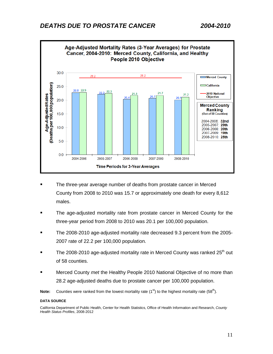<span id="page-10-0"></span>

- The three-year average number of deaths from prostate cancer in Merced County from 2008 to 2010 was 15.7 or approximately one death for every 8,612 males.
- The age-adjusted mortality rate from prostate cancer in Merced County for the three-year period from 2008 to 2010 was 20.1 per 100,000 population.
- The 2008-2010 age-adjusted mortality rate decreased 9.3 percent from the 2005- 2007 rate of 22.2 per 100,000 population.
- The 2008-2010 age-adjusted mortality rate in Merced County was ranked 25<sup>th</sup> out of 58 counties.
- Merced County *met* the Healthy People 2010 National Objective of no more than 28.2 age-adjusted deaths due to prostate cancer per 100,000 population.
- **Note:** Counties were ranked from the lowest mortality rate  $(1^{st})$  to the highest mortality rate  $(58<sup>th</sup>)$ .

#### **DATA SOURCE**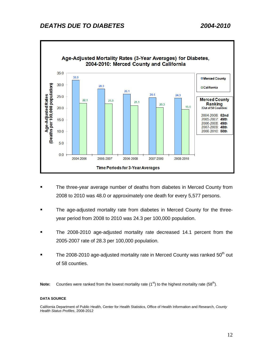<span id="page-11-0"></span>

- The three-year average number of deaths from diabetes in Merced County from 2008 to 2010 was 48.0 or approximately one death for every 5,577 persons.
- The age-adjusted mortality rate from diabetes in Merced County for the threeyear period from 2008 to 2010 was 24.3 per 100,000 population.
- The 2008-2010 age-adjusted mortality rate decreased 14.1 percent from the 2005-2007 rate of 28.3 per 100,000 population.
- The 2008-2010 age-adjusted mortality rate in Merced County was ranked  $50<sup>th</sup>$  out of 58 counties.

#### **DATA SOURCE**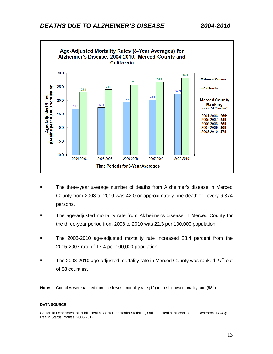<span id="page-12-0"></span>

2007-2009

2008-2010



2006-2008

**Time Periods for 3-Year Averages** 

- The age-adjusted mortality rate from Alzheimer's disease in Merced County for the three-year period from 2008 to 2010 was 22.3 per 100,000 population.
- The 2008-2010 age-adjusted mortality rate increased 28.4 percent from the 2005-2007 rate of 17.4 per 100,000 population.
- The 2008-2010 age-adjusted mortality rate in Merced County was ranked 27<sup>th</sup> out of 58 counties.

**Note:** Counties were ranked from the lowest mortality rate  $(1^{st})$  to the highest mortality rate  $(58^{th})$ .

#### **DATA SOURCE**

Age-AdjustedRates<br>(Deaths per 100,000 population)

 $10.0$ 

5.0

 $0.0$ 

2004-2006

2005-2007

California Department of Public Health, Center for Health Statistics, Office of Health Information and Research, *County Health Status Profiles*, 2008-2012

2007-2009: 26th 2008-2010: 27th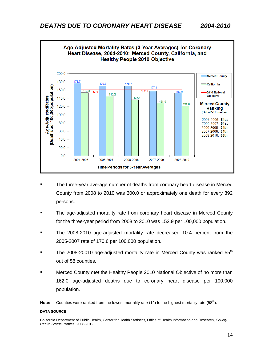<span id="page-13-0"></span>

- The three-year average number of deaths from coronary heart disease in Merced County from 2008 to 2010 was 300.0 or approximately one death for every 892 persons.
- The age-adjusted mortality rate from coronary heart disease in Merced County for the three-year period from 2008 to 2010 was 152.9 per 100,000 population.
- The 2008-2010 age-adjusted mortality rate decreased 10.4 percent from the 2005-2007 rate of 170.6 per 100,000 population.
- The 2008-20010 age-adjusted mortality rate in Merced County was ranked  $55<sup>m</sup>$ out of 58 counties.
- Merced County *met* the Healthy People 2010 National Objective of no more than 162.0 age-adjusted deaths due to coronary heart disease per 100,000 population.

#### **DATA SOURCE**

California Department of Public Health, Center for Health Statistics, Office of Health Information and Research, *County Health Status Profiles*, 2008-2012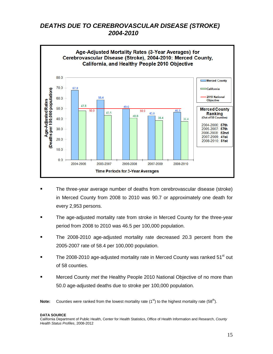# <span id="page-14-0"></span>*DEATHS DUE TO CEREBROVASCULAR DISEASE (STROKE) 2004-2010*



- The three-year average number of deaths from cerebrovascular disease (stroke) in Merced County from 2008 to 2010 was 90.7 or approximately one death for every 2,953 persons.
- The age-adjusted mortality rate from stroke in Merced County for the three-year period from 2008 to 2010 was 46.5 per 100,000 population.
- The 2008-2010 age-adjusted mortality rate decreased 20.3 percent from the 2005-2007 rate of 58.4 per 100,000 population.
- The 2008-2010 age-adjusted mortality rate in Merced County was ranked  $51<sup>st</sup>$  out of 58 counties.
- Merced County *met* the Healthy People 2010 National Objective of no more than 50.0 age-adjusted deaths due to stroke per 100,000 population.

**Note:** Counties were ranked from the lowest mortality rate  $(1^{st})$  to the highest mortality rate  $(58^{th})$ .

#### **DATA SOURCE**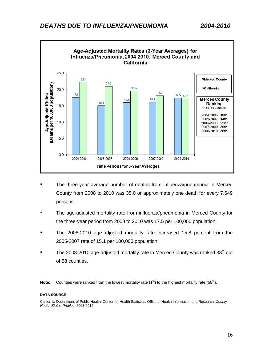<span id="page-15-0"></span>

- The three-year average number of deaths from influenza/pneumonia in Merced County from 2008 to 2010 was 35.0 or approximately one death for every 7,649 persons.
- The age-adjusted mortality rate from influenza/pneumonia in Merced County for the three-year period from 2008 to 2010 was 17.5 per 100,000 population.
- The 2008-2010 age-adjusted mortality rate increased 15.8 percent from the 2005-2007 rate of 15.1 per 100,000 population.
- The 2008-2010 age-adjusted mortality rate in Merced County was ranked  $38<sup>th</sup>$  out of 58 counties.

#### **DATA SOURCE**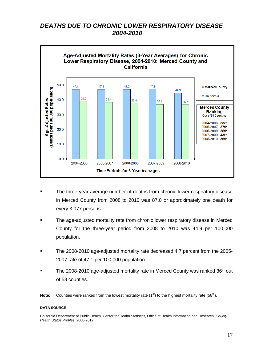# <span id="page-16-0"></span>*DEATHS DUE TO CHRONIC LOWER RESPIRATORY DISEASE 2004-2010*



- The three-year average number of deaths from chronic lower respiratory disease in Merced County from 2008 to 2010 was 87.0 or approximately one death for every 3,077 persons.
- The age-adjusted mortality rate from chronic lower respiratory disease in Merced County for the three-year period from 2008 to 2010 was 44.9 per 100,000 population.
- The 2008-2010 age-adjusted mortality rate decreased 4.7 percent from the 2005- 2007 rate of 47.1 per 100,000 population.
- The 2008-2010 age-adjusted mortality rate in Merced County was ranked  $36<sup>th</sup>$  out of 58 counties.

**Note:** Counties were ranked from the lowest mortality rate (1<sup>st</sup>) to the highest mortality rate (58<sup>th</sup>).

#### **DATA SOURCE**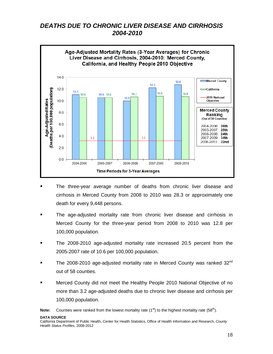# <span id="page-17-0"></span>*DEATHS DUE TO CHRONIC LIVER DISEASE AND CIRRHOSIS 2004-2010*



- The three-year average number of deaths from chronic liver disease and cirrhosis in Merced County from 2008 to 2010 was 28.3 or approximately one death for every 9,448 persons.
- The age-adjusted mortality rate from chronic liver disease and cirrhosis in Merced County for the three-year period from 2008 to 2010 was 12.8 per 100,000 population.
- **The 2008-2010 age-adjusted mortality rate increased 20.5 percent from the** 2005-2007 rate of 10.6 per 100,000 population.
- The 2008-2010 age-adjusted mortality rate in Merced County was ranked  $32^{\text{nd}}$ out of 58 counties.
- Merced County did *not* meet the Healthy People 2010 National Objective of no more than 3.2 age-adjusted deaths due to chronic liver disease and cirrhosis per 100,000 population.

**Note:** Counties were ranked from the lowest mortality rate (1<sup>st</sup>) to the highest mortality rate (58<sup>th</sup>).

#### **DATA SOURCE**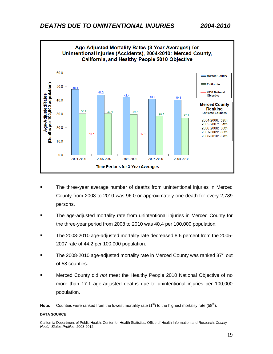<span id="page-18-0"></span>

- The three-year average number of deaths from unintentional injuries in Merced County from 2008 to 2010 was 96.0 or approximately one death for every 2,789 persons.
- The age-adjusted mortality rate from unintentional injuries in Merced County for the three-year period from 2008 to 2010 was 40.4 per 100,000 population.
- The 2008-2010 age-adjusted mortality rate decreased 8.6 percent from the 2005- 2007 rate of 44.2 per 100,000 population.
- The 2008-2010 age-adjusted mortality rate in Merced County was ranked  $37<sup>th</sup>$  out of 58 counties.
- Merced County did *not* meet the Healthy People 2010 National Objective of no more than 17.1 age-adjusted deaths due to unintentional injuries per 100,000 population.

#### **DATA SOURCE**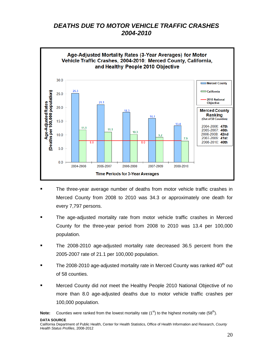# <span id="page-19-0"></span>*DEATHS DUE TO MOTOR VEHICLE TRAFFIC CRASHES 2004-2010*



- The three-year average number of deaths from motor vehicle traffic crashes in Merced County from 2008 to 2010 was 34.3 or approximately one death for every 7,797 persons.
- The age-adjusted mortality rate from motor vehicle traffic crashes in Merced County for the three-year period from 2008 to 2010 was 13.4 per 100,000 population.
- The 2008-2010 age-adjusted mortality rate decreased 36.5 percent from the 2005-2007 rate of 21.1 per 100,000 population.
- The 2008-2010 age-adjusted mortality rate in Merced County was ranked  $40<sup>th</sup>$  out of 58 counties.
- Merced County did *not* meet the Healthy People 2010 National Objective of no more than 8.0 age-adjusted deaths due to motor vehicle traffic crashes per 100,000 population.

**Note:** Counties were ranked from the lowest mortality rate  $(1^{st})$  to the highest mortality rate  $(58^{th})$ .

**DATA SOURCE**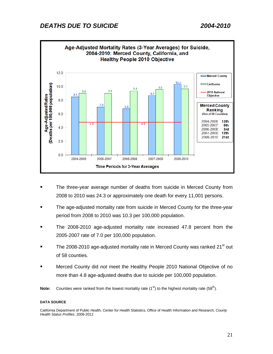<span id="page-20-0"></span>

- The three-year average number of deaths from suicide in Merced County from 2008 to 2010 was 24.3 or approximately one death for every 11,001 persons.
- The age-adjusted mortality rate from suicide in Merced County for the three-year period from 2008 to 2010 was 10.3 per 100,000 population.
- The 2008-2010 age-adjusted mortality rate increased 47.8 percent from the 2005-2007 rate of 7.0 per 100,000 population.
- The 2008-2010 age-adjusted mortality rate in Merced County was ranked  $21<sup>st</sup>$  out of 58 counties.
- Merced County did *not* meet the Healthy People 2010 National Objective of no more than 4.8 age-adjusted deaths due to suicide per 100,000 population.
- **Note:** Counties were ranked from the lowest mortality rate  $(1^{st})$  to the highest mortality rate  $(58^{th})$ .

#### **DATA SOURCE**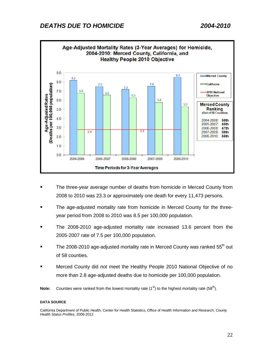<span id="page-21-0"></span>

- The three-year average number of deaths from homicide in Merced County from 2008 to 2010 was 23.3 or approximately one death for every 11,473 persons.
- The age-adjusted mortality rate from homicide in Merced County for the threeyear period from 2008 to 2010 was 8.5 per 100,000 population.
- The 2008-2010 age-adjusted mortality rate increased 13.6 percent from the 2005-2007 rate of 7.5 per 100,000 population.
- The 2008-2010 age-adjusted mortality rate in Merced County was ranked 55<sup>th</sup> out of 58 counties.
- Merced County did *not* meet the Healthy People 2010 National Objective of no more than 2.8 age-adjusted deaths due to homicide per 100,000 population.

#### **DATA SOURCE**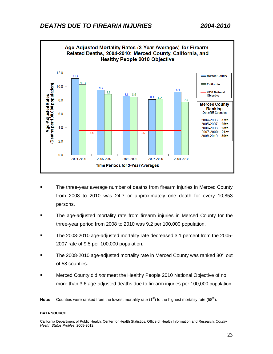<span id="page-22-0"></span>

- The three-year average number of deaths from firearm injuries in Merced County from 2008 to 2010 was 24.7 or approximately one death for every 10,853 persons.
- The age-adjusted mortality rate from firearm injuries in Merced County for the three-year period from 2008 to 2010 was 9.2 per 100,000 population.
- The 2008-2010 age-adjusted mortality rate decreased 3.1 percent from the 2005- 2007 rate of 9.5 per 100,000 population.
- The 2008-2010 age-adjusted mortality rate in Merced County was ranked  $30<sup>th</sup>$  out of 58 counties.
- Merced County did *not* meet the Healthy People 2010 National Objective of no more than 3.6 age-adjusted deaths due to firearm injuries per 100,000 population.

#### **DATA SOURCE**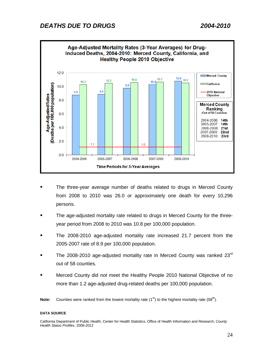<span id="page-23-0"></span>

- The three-year average number of deaths related to drugs in Merced County from 2008 to 2010 was 26.0 or approximately one death for every 10,296 persons.
- The age-adjusted mortality rate related to drugs in Merced County for the threeyear period from 2008 to 2010 was 10.8 per 100,000 population.
- The 2008-2010 age-adjusted mortality rate increased 21.7 percent from the 2005-2007 rate of 8.9 per 100,000 population.
- The 2008-2010 age-adjusted mortality rate in Merced County was ranked  $23<sup>rd</sup>$ out of 58 counties.
- Merced County did *not* meet the Healthy People 2010 National Objective of no more than 1.2 age-adjusted drug-related deaths per 100,000 population.

#### **DATA SOURCE**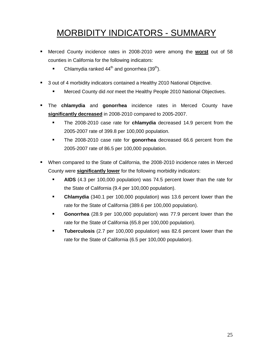# <span id="page-24-0"></span>MORBIDITY INDICATORS - SUMMARY

- Merced County incidence rates in 2008-2010 were among the **worst** out of 58 counties in California for the following indicators:
	- Chlamydia ranked  $44<sup>th</sup>$  and gonorrhea (39<sup>th</sup>).
- 3 out of 4 morbidity indicators contained a Healthy 2010 National Objective.
	- Merced County did *not* meet the Healthy People 2010 National Objectives.
- The **chlamydia** and **gonorrhea** incidence rates in Merced County have **significantly decreased** in 2008-2010 compared to 2005-2007.
	- The 2008-2010 case rate for **chlamydia** decreased 14.9 percent from the 2005-2007 rate of 399.8 per 100,000 population.
	- The 2008-2010 case rate for **gonorrhea** decreased 66.6 percent from the 2005-2007 rate of 86.5 per 100,000 population.
- When compared to the State of California, the 2008-2010 incidence rates in Merced County were **significantly lower** for the following morbidity indicators:
	- **AIDS** (4.3 per 100,000 population) was 74.5 percent lower than the rate for the State of California (9.4 per 100,000 population).
	- **Chlamydia** (340.1 per 100,000 population) was 13.6 percent lower than the rate for the State of California (389.6 per 100,000 population).
	- **Gonorrhea** (28.9 per 100,000 population) was 77.9 percent lower than the rate for the State of California (65.8 per 100,000 population).
	- **Tuberculosis** (2.7 per 100,000 population) was 82.6 percent lower than the rate for the State of California (6.5 per 100,000 population).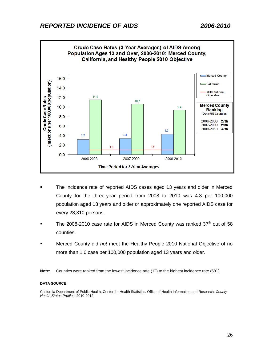<span id="page-25-0"></span>

- The incidence rate of reported AIDS cases aged 13 years and older in Merced County for the three-year period from 2008 to 2010 was 4.3 per 100,000 population aged 13 years and older or approximately one reported AIDS case for every 23,310 persons.
- The 2008-2010 case rate for AIDS in Merced County was ranked  $37<sup>th</sup>$  out of 58 counties.
- Merced County did *not* meet the Healthy People 2010 National Objective of no more than 1.0 case per 100,000 population aged 13 years and older.
- **Note:** Counties were ranked from the lowest incidence rate  $(1^{st})$  to the highest incidence rate  $(58^{th})$ .

#### **DATA SOURCE**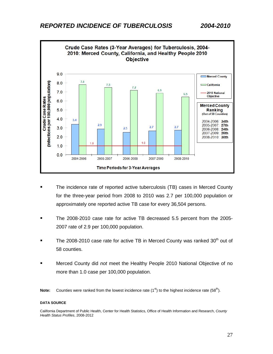<span id="page-26-0"></span>

- The incidence rate of reported active tuberculosis (TB) cases in Merced County for the three-year period from 2008 to 2010 was 2.7 per 100,000 population or approximately one reported active TB case for every 36,504 persons.
- The 2008-2010 case rate for active TB decreased 5.5 percent from the 2005- 2007 rate of 2.9 per 100,000 population.
- The 2008-2010 case rate for active TB in Merced County was ranked  $30<sup>th</sup>$  out of 58 counties.
- Merced County did *not* meet the Healthy People 2010 National Objective of no more than 1.0 case per 100,000 population.

**Note:** Counties were ranked from the lowest incidence rate (1<sup>st</sup>) to the highest incidence rate (58<sup>th</sup>).

#### **DATA SOURCE**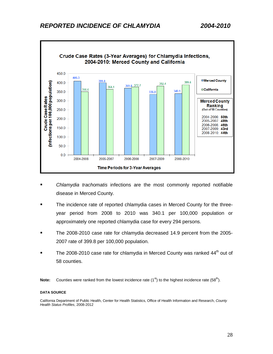# <span id="page-27-0"></span>*REPORTED INCIDENCE OF CHLAMYDIA 2004-2010*



- *Chlamydia trachomatis* infections are the most commonly reported notifiable disease in Merced County.
- The incidence rate of reported chlamydia cases in Merced County for the threeyear period from 2008 to 2010 was 340.1 per 100,000 population or approximately one reported chlamydia case for every 294 persons.
- The 2008-2010 case rate for chlamydia decreased 14.9 percent from the 2005- 2007 rate of 399.8 per 100,000 population.
- The 2008-2010 case rate for chlamydia in Merced County was ranked 44<sup>th</sup> out of 58 counties.

**Note:** Counties were ranked from the lowest incidence rate (1<sup>st</sup>) to the highest incidence rate (58<sup>th</sup>).

#### **DATA SOURCE**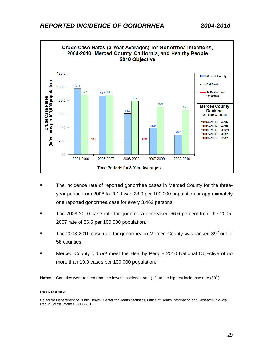<span id="page-28-0"></span>

- **The incidence rate of reported gonorrhea cases in Merced County for the three**year period from 2008 to 2010 was 28.9 per 100,000 population or approximately one reported gonorrhea case for every 3,462 persons.
- The 2008-2010 case rate for gonorrhea decreased 66.6 percent from the 2005- 2007 rate of 86.5 per 100,000 population.
- The 2008-2010 case rate for gonorrhea in Merced County was ranked 39<sup>th</sup> out of 58 counties.
- Merced County did *not* meet the Healthy People 2010 National Objective of no more than 19.0 cases per 100,000 population.

**Notes:** Counties were ranked from the lowest incidence rate (1<sup>st</sup>) to the highest incidence rate (58<sup>th</sup>).

#### **DATA SOURCE**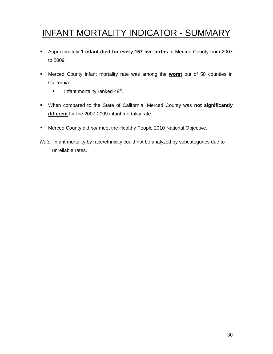# <span id="page-29-0"></span>INFANT MORTALITY INDICATOR - SUMMARY

- Approximately **1 infant died for every 157 live births** in Merced County from 2007 to 2009.
- Merced County infant mortality rate was among the **worst** out of 58 counties in California.
	- Infant mortality ranked  $48<sup>th</sup>$ .
- When compared to the State of California, Merced County was **not significantly different** for the 2007-2009 infant mortality rate.
- Merced County did *not* meet the Healthy People 2010 National Objective.

*Note:* Infant mortality by race/ethnicity could not be analyzed by subcategories due to unreliable rates.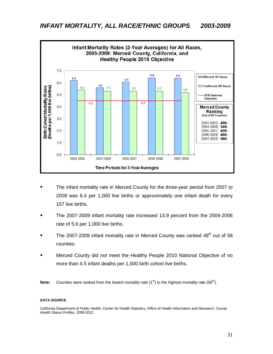<span id="page-30-0"></span>

- The infant mortality rate in Merced County for the three-year period from 2007 to 2009 was 6.4 per 1,000 live births or approximately one infant death for every 157 live births.
- The 2007-2009 infant mortality rate increased 13.9 percent from the 2004-2006 rate of 5.6 per 1,000 live births.
- The 2007-2009 infant mortality rate in Merced County was ranked  $48<sup>th</sup>$  out of 58 counties.
- Merced County did *not* meet the Healthy People 2010 National Objective of no more than 4.5 infant deaths per 1,000 birth cohort live births.

**Note:** Counties were ranked from the lowest mortality rate (1<sup>st</sup>) to the highest mortality rate (58<sup>th</sup>).

#### **DATA SOURCE**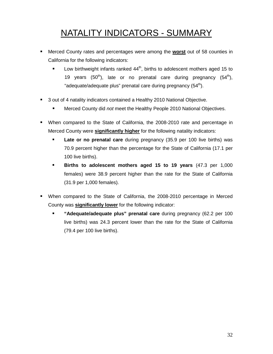# <span id="page-31-0"></span>NATALITY INDICATORS - SUMMARY

- Merced County rates and percentages were among the **worst** out of 58 counties in California for the following indicators:
	- **Low birthweight infants ranked 44<sup>th</sup>, births to adolescent mothers aged 15 to** 19 years  $(50<sup>th</sup>)$ , late or no prenatal care during pregnancy  $(54<sup>th</sup>)$ , "adequate/adequate plus" prenatal care during pregnancy  $(54<sup>th</sup>)$ .
- 3 out of 4 natality indicators contained a Healthy 2010 National Objective.
	- Merced County did *not* meet the Healthy People 2010 National Objectives.
- When compared to the State of California, the 2008-2010 rate and percentage in Merced County were **significantly higher** for the following natality indicators:
	- **Late or no prenatal care** during pregnancy (35.9 per 100 live births) was 70.9 percent higher than the percentage for the State of California (17.1 per 100 live births).
	- **Births to adolescent mothers aged 15 to 19 years** (47.3 per 1,000 females) were 38.9 percent higher than the rate for the State of California (31.9 per 1,000 females).
- When compared to the State of California, the 2008-2010 percentage in Merced County was **significantly lower** for the following indicator:
	- **"Adequate/adequate plus" prenatal care** during pregnancy (62.2 per 100 live births) was 24.3 percent lower than the rate for the State of California (79.4 per 100 live births).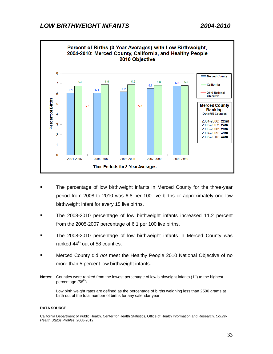<span id="page-32-0"></span>

- The percentage of low birthweight infants in Merced County for the three-year period from 2008 to 2010 was 6.8 per 100 live births or approximately one low birthweight infant for every 15 live births.
- The 2008-2010 percentage of low birthweight infants increased 11.2 percent from the 2005-2007 percentage of 6.1 per 100 live births.
- The 2008-2010 percentage of low birthweight infants in Merced County was ranked  $44<sup>th</sup>$  out of 58 counties.
- Merced County did *not* meet the Healthy People 2010 National Objective of no more than 5 percent low birthweight infants.
- **Notes:** Counties were ranked from the lowest percentage of low birthweight infants (1<sup>st</sup>) to the highest percentage  $(58<sup>th</sup>)$ .

Low birth weight rates are defined as the percentage of births weighing less than 2500 grams at birth out of the total number of births for any calendar year.

#### **DATA SOURCE**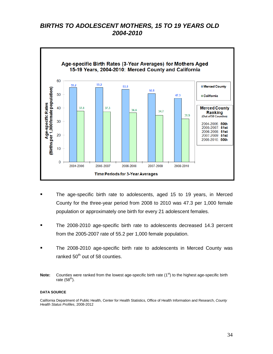## <span id="page-33-0"></span>*BIRTHS TO ADOLESCENT MOTHERS, 15 TO 19 YEARS OLD 2004-2010*



- The age-specific birth rate to adolescents, aged 15 to 19 years, in Merced County for the three-year period from 2008 to 2010 was 47.3 per 1,000 female population or approximately one birth for every 21 adolescent females.
- The 2008-2010 age-specific birth rate to adolescents decreased 14.3 percent from the 2005-2007 rate of 55.2 per 1,000 female population.
- The 2008-2010 age-specific birth rate to adolescents in Merced County was ranked  $50<sup>th</sup>$  out of 58 counties.
- **Note:** Counties were ranked from the lowest age-specific birth rate (1<sup>st</sup>) to the highest age-specific birth rate  $(58<sup>th</sup>)$ .

#### **DATA SOURCE**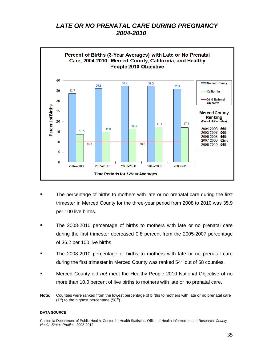# <span id="page-34-0"></span>*LATE OR NO PRENATAL CARE DURING PREGNANCY 2004-2010*



- The percentage of births to mothers with late or no prenatal care during the first trimester in Merced County for the three-year period from 2008 to 2010 was 35.9 per 100 live births.
- The 2008-2010 percentage of births to mothers with late or no prenatal care during the first trimester decreased 0.8 percent from the 2005-2007 percentage of 36.2 per 100 live births.
- The 2008-2010 percentage of births to mothers with late or no prenatal care during the first trimester in Merced County was ranked 54<sup>th</sup> out of 58 counties.
- Merced County did *not* meet the Healthy People 2010 National Objective of no more than 10.0 percent of live births to mothers with late or no prenatal care.
- **Note:** Counties were ranked from the lowest percentage of births to mothers with late or no prenatal care  $(1<sup>st</sup>)$  to the highest percentage  $(58<sup>th</sup>)$ .

#### **DATA SOURCE**

California Department of Public Health, Center for Health Statistics, Office of Health Information and Research, *County Health Status Profiles*, 2008-2012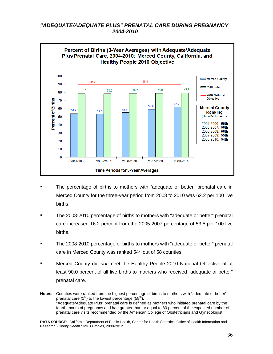### <span id="page-35-0"></span>*"ADEQUATE/ADEQUATE PLUS" PRENATAL CARE DURING PREGNANCY 2004-2010*



- The percentage of births to mothers with "adequate or better" prenatal care in Merced County for the three-year period from 2008 to 2010 was 62.2 per 100 live births.
- The 2008-2010 percentage of births to mothers with "adequate or better" prenatal care increased 16.2 percent from the 2005-2007 percentage of 53.5 per 100 live births.
- The 2008-2010 percentage of births to mothers with "adequate or better" prenatal care in Merced County was ranked  $54<sup>th</sup>$  out of 58 counties.
- Merced County did *not* meet the Healthy People 2010 National Objective of at least 90.0 percent of all live births to mothers who received "adequate or better" prenatal care.

**Notes:** Counties were ranked from the highest percentage of births to mothers with "adequate or better" prenatal care  $(1^{st})$  to the lowest percentage  $(58^{th})$ . "Adequate/Adequate Plus" prenatal care is defined as mothers who initiated prenatal care by the fourth month of pregnancy and had greater than or equal to 80 percent of the expected number of prenatal care visits recommended by the American College of Obstetricians and Gynecologist.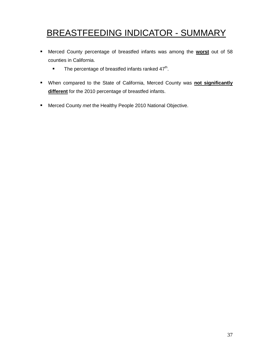# <span id="page-36-0"></span>BREASTFEEDING INDICATOR - SUMMARY

- Merced County percentage of breastfed infants was among the **worst** out of 58 counties in California.
	- The percentage of breastfed infants ranked  $47<sup>th</sup>$ .
- When compared to the State of California, Merced County was **not significantly different** for the 2010 percentage of breastfed infants.
- Merced County *met* the Healthy People 2010 National Objective.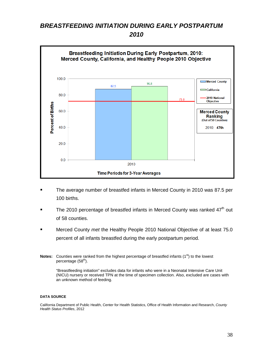# <span id="page-37-1"></span><span id="page-37-0"></span>*BREASTFEEDING INITIATION DURING EARLY POSTPARTUM 2010*



- The average number of breastfed infants in Merced County in 2010 was 87.5 per 100 births.
- The 2010 percentage of breastfed infants in Merced County was ranked  $47<sup>th</sup>$  out of 58 counties.
- Merced County *met* the Healthy People 2010 National Objective of at least 75.0 percent of all infants breastfed during the early postpartum period.
- **Notes:** Counties were ranked from the highest percentage of breastfed infants (1<sup>st</sup>) to the lowest percentage (58<sup>th</sup>).

"Breastfeeding initiation" excludes data for infants who were in a Neonatal Intensive Care Unit (NICU) nursery or received TPN at the time of specimen collection. Also, excluded are cases with an unknown method of feeding.

#### **DATA SOURCE**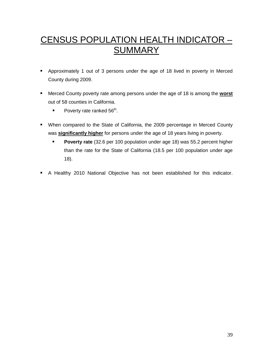# <span id="page-38-0"></span>CENSUS POPULATION HEALTH INDICATOR – **SUMMARY**

- Approximately 1 out of 3 persons under the age of 18 lived in poverty in Merced County during 2009.
- Merced County poverty rate among persons under the age of 18 is among the **worst** out of 58 counties in California.
	- Poverty rate ranked  $56<sup>th</sup>$ .
- When compared to the State of California, the 2009 percentage in Merced County was **significantly higher** for persons under the age of 18 years living in poverty.
	- **Poverty rate** (32.6 per 100 population under age 18) was 55.2 percent higher than the rate for the State of California (18.5 per 100 population under age 18).
- A Healthy 2010 National Objective has not been established for this indicator.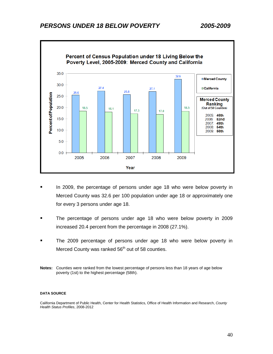# <span id="page-39-0"></span>*PERSONS UNDER 18 BELOW POVERTY 2005-2009*



- In 2009, the percentage of persons under age 18 who were below poverty in Merced County was 32.6 per 100 population under age 18 or approximately one for every 3 persons under age 18.
- The percentage of persons under age 18 who were below poverty in 2009 increased 20.4 percent from the percentage in 2008 (27.1%).
- The 2009 percentage of persons under age 18 who were below poverty in Merced County was ranked  $56<sup>th</sup>$  out of 58 counties.
- **Notes:** Counties were ranked from the lowest percentage of persons less than 18 years of age below poverty (1st) to the highest percentage (58th).

#### **DATA SOURCE**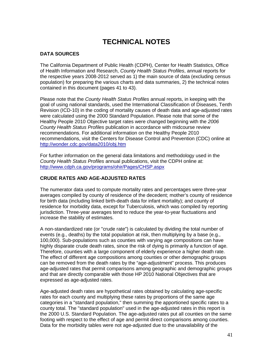# <span id="page-40-0"></span>**TECHNICAL NOTES**

### **DATA SOURCES**

The California Department of Public Health (CDPH), Center for Health Statistics, Office of Health Information and Research, *County Health Status Profiles*, annual reports for the respective years 2008-2012 served as 1) the main source of data (excluding census population) for preparing the various charts and data summaries, 2) the technical notes contained in this document (pages 41 to 43).

Please note that the *County Health Status Profiles* annual reports, in keeping with the goal of using national standards, used the International Classification of Diseases, Tenth Revision (ICD-10) in the coding of mortality causes of death data and age-adjusted rates were calculated using the 2000 Standard Population. Please note that some of the Healthy People 2010 Objective target rates were changed beginning with the *2006 County Health Status Profiles* publication in accordance with midcourse review recommendations. For additional information on the Healthy People 2010 recommendations, visit the Centers for Disease Control and Prevention (CDC) online at <http://wonder.cdc.gov/data2010/obj.htm>

For further information on the general data limitations and methodology used in the *County Health Status Profiles* annual publications, visit the CDPH online at: <http://www.cdph.ca.gov/programs/ohir/Pages/CHSP.aspx>

### **CRUDE RATES AND AGE-ADJUSTED RATES**

The numerator data used to compute mortality rates and percentages were three-year averages compiled by county of residence of the decedent; mother's county of residence for birth data (including linked birth-death data for infant mortality); and county of residence for morbidity data, except for Tuberculosis, which was compiled by reporting jurisdiction. Three-year averages tend to reduce the year-to-year fluctuations and increase the stability of estimates.

A non-standardized rate (or "crude rate") is calculated by dividing the total number of events (e.g., deaths) by the total population at risk, then multiplying by a base (e.g., 100,000). Sub-populations such as counties with varying age compositions can have highly disparate crude death rates, since the risk of dying is primarily a function of age. Therefore, counties with a large component of elderly experience a higher death rate. The effect of different age compositions among counties or other demographic groups can be removed from the death rates by the "age-adjustment" process. This produces age-adjusted rates that permit comparisons among geographic and demographic groups and that are directly comparable with those HP 2010 National Objectives that are expressed as age-adjusted rates.

Age-adjusted death rates are hypothetical rates obtained by calculating age-specific rates for each county and multiplying these rates by proportions of the same age categories in a "standard population," then summing the apportioned specific rates to a county total. The "standard population" used in the age-adjusted rates in this report is the 2000 U.S. Standard Population. The age-adjusted rates put all counties on the same footing with respect to the effect of age and permit direct comparisons among counties. Data for the morbidity tables were not age-adjusted due to the unavailability of the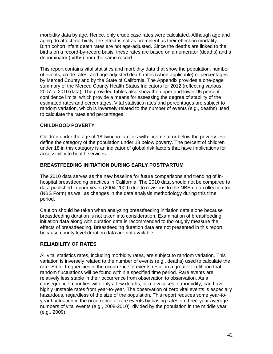morbidity data by age. Hence, only crude case rates were calculated. Although age and aging do affect morbidity, the effect is not as prominent as their effect on mortality. Birth cohort infant death rates are not age-adjusted. Since the deaths are linked to the births on a record-by-record basis, these rates are based on a numerator (deaths) and a denominator (births) from the same record.

This report contains vital statistics and morbidity data that show the population, number of events, crude rates, and age-adjusted death rates (when applicable) or percentages by Merced County and by the State of California. The Appendix provides a one-page summary of the Merced County Health Status Indicators for 2012 (reflecting various 2007 to 2010 data). The provided tables also show the upper and lower 95 percent confidence limits, which provide a means for assessing the degree of stability of the estimated rates and percentages. Vital statistics rates and percentages are subject to random variation, which is inversely related to the number of events (e.g., deaths) used to calculate the rates and percentages.

### **CHILDHOOD POVERTY**

Children under the age of 18 living in families with income at or below the poverty level define the category of the population under 18 below poverty. The percent of children under 18 in this category is an indicator of global risk factors that have implications for accessibility to health services.

#### **BREASTFEEDING INITIATION DURING EARLY POSTPARTUM**

The 2010 data serves as the new baseline for future comparisons and trending of inhospital breastfeeding practices in California. The 2010 data should not be compared to data published in prior years (2004-2009) due to revisions to the NBS data collection tool (NBS Form) as well as changes in the data analysis methodology during this time period.

Caution should be taken when analyzing breastfeeding initiation data alone because breastfeeding duration is not taken into consideration. Examination of breastfeeding initiation data along with duration data is recommended to thoroughly measure the effects of breastfeeding. Breastfeeding duration data are not presented in this report because county level duration data are not available.

### **RELIABILITY OF RATES**

All vital statistics rates, including morbidity rates, are subject to random variation. This variation is inversely related to the number of events (e.g., deaths) used to calculate the rate. Small frequencies in the occurrence of events result in a greater likelihood that random fluctuations will be found within a specified time period. Rare events are relatively less stable in their occurrence from observation to observation. As a consequence, counties with only a few deaths, or a few cases of morbidity, can have highly unstable rates from year-to-year. The observation of zero vital events is especially hazardous, regardless of the size of the population. This report reduces some year-toyear fluctuation in the occurrence of rare events by basing rates on three-year average numbers of vital events (e.g., 2008-2010), divided by the population in the middle year (e.g., 2009).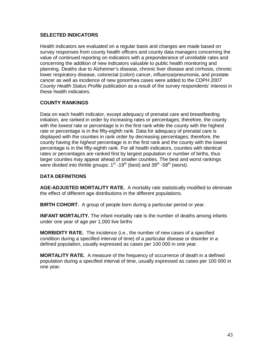### **SELECTED INDICATORS**

Health indicators are evaluated on a regular basis and changes are made based on survey responses from county health officers and county data managers concerning the value of continued reporting on indicators with a preponderance of unreliable rates and concerning the addition of new indicators valuable to public health monitoring and planning. Deaths due to Alzheimer's disease, chronic liver disease and cirrhosis, chronic lower respiratory disease, colorectal (colon) cancer, influenza/pneumonia, and prostate cancer as well as incidence of new gonorrhea cases were added to the CDPH *2007 County Health Status Profile* publication as a result of the survey respondents' interest in these health indicators.

### **COUNTY RANKINGS**

Data on each health indicator, except adequacy of prenatal care and breastfeeding initiation, are ranked in order by increasing rates or percentages; therefore, the county with the *lowest* rate or percentage is in the first rank while the county with the highest rate or percentage is in the fifty-eighth rank. Data for adequacy of prenatal care is displayed with the counties in rank order by decreasing percentages; therefore, the county having the *highest* percentage is in the first rank and the county with the lowest percentage is in the fifty-eighth rank. For all health indicators, counties with identical rates or percentages are ranked first by largest population or number of births, thus larger counties may appear ahead of smaller counties. The best and worst rankings were divided into thirtile groups:  $1<sup>st</sup>$  -19<sup>th</sup> (best) and 39<sup>th</sup> -58<sup>th</sup> (worst).

### **DATA DEFINITIONS**

**AGE-ADJUSTED MORTALITY RATE.** A mortality rate statistically modified to eliminate the effect of different age distributions in the different populations.

**BIRTH COHORT.** A group of people born during a particular period or year.

**INFANT MORTALITY.** The infant mortality rate is the number of deaths among infants under one year of age per 1,000 live births

**MORBIDITY RATE.** The incidence (i.e., the number of new cases of a specified condition during a specified interval of time) of a particular disease or disorder in a defined population, usually expressed as cases per 100 000 in one year.

**MORTALITY RATE.** A measure of the frequency of occurrence of death in a defined population during a specified interval of time, usually expressed as cases per 100 000 in one year.